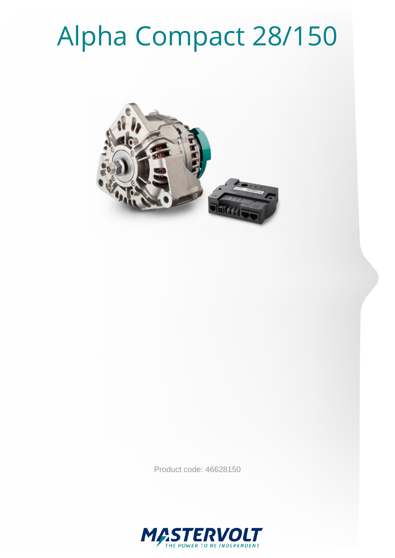# Alpha Compact 28/150



Product code: 46628150

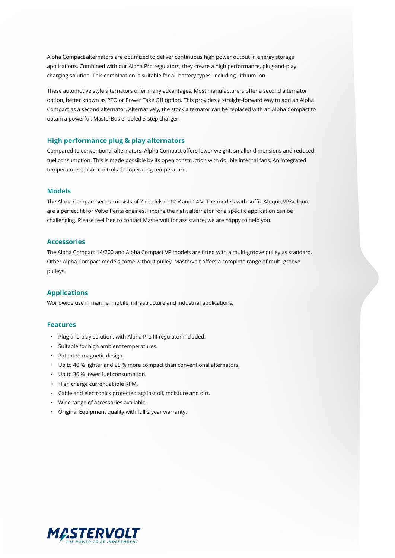Alpha Compact alternators are optimized to deliver continuous high power output in energy storage applications. Combined with our Alpha Pro regulators, they create a high performance, plug-and-play charging solution. This combination is suitable for all battery types, including Lithium Ion.

These automotive style alternators offer many advantages. Most manufacturers offer a second alternator option, better known as PTO or Power Take Off option. This provides a straight-forward way to add an Alpha Compact as a second alternator. Alternatively, the stock alternator can be replaced with an Alpha Compact to obtain a powerful, MasterBus enabled 3-step charger.

#### **High performance plug & play alternators**

Compared to conventional alternators, Alpha Compact offers lower weight, smaller dimensions and reduced fuel consumption. This is made possible by its open construction with double internal fans. An integrated temperature sensor controls the operating temperature.

#### **Models**

The Alpha Compact series consists of 7 models in 12 V and 24 V. The models with suffix " VP" are a perfect fit for Volvo Penta engines. Finding the right alternator for a specific application can be challenging. Please feel free to contact Mastervolt for assistance, we are happy to help you.

#### **Accessories**

The Alpha Compact 14/200 and Alpha Compact VP models are fitted with a multi-groove pulley as standard. Other Alpha Compact models come without pulley. Mastervolt offers a complete range of multi-groove pulleys.

#### **Applications**

Worldwide use in marine, mobile, infrastructure and industrial applications.

#### **Features**

- · Plug and play solution, with Alpha Pro III regulator included.
- · Suitable for high ambient temperatures.
- · Patented magnetic design.
- · Up to 40 % lighter and 25 % more compact than conventional alternators.
- · Up to 30 % lower fuel consumption.
- · High charge current at idle RPM.
- · Cable and electronics protected against oil, moisture and dirt.
- · Wide range of accessories available.
- · Original Equipment quality with full 2 year warranty.